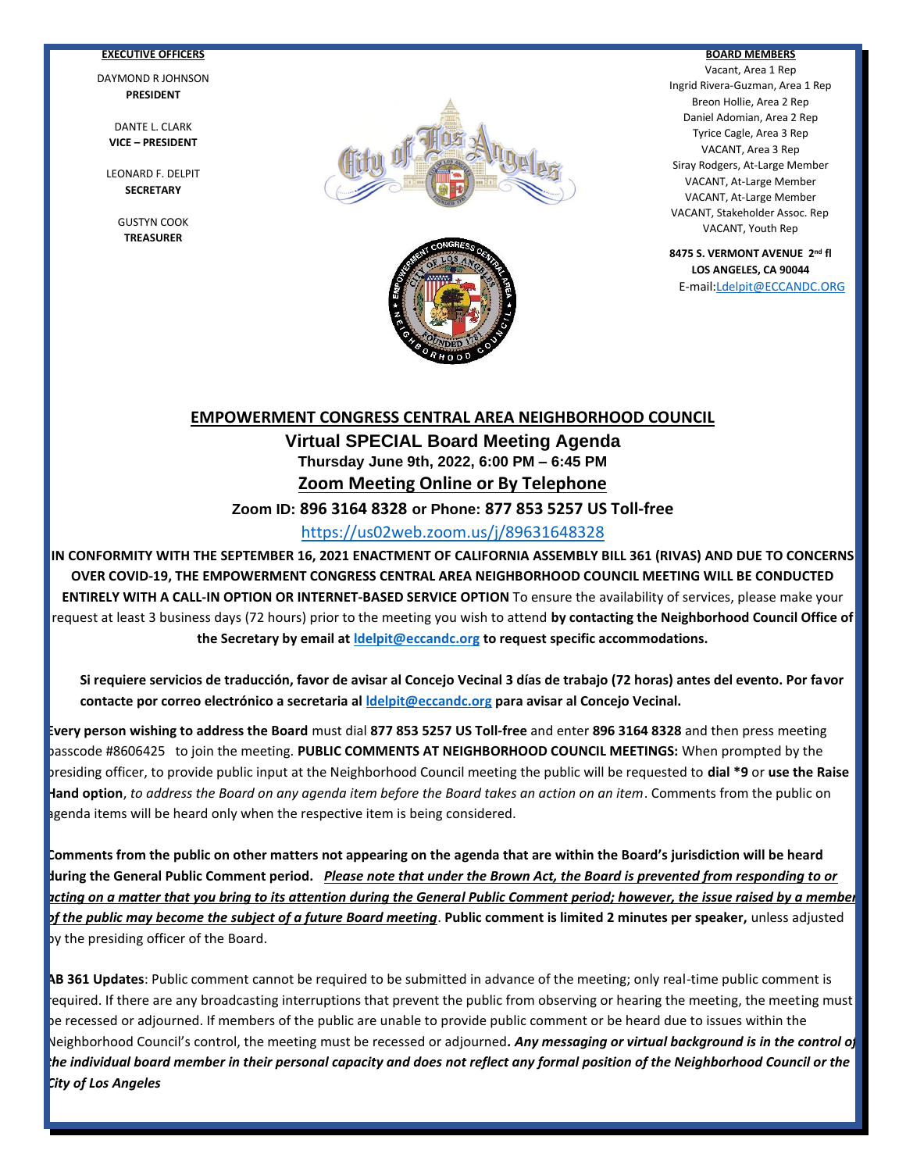### **EXECUTIVE OFFICERS**

DAYMOND R JOHNSON **PRESIDENT**

> DANTE L. CLARK **VICE – PRESIDENT**

LEONARD F. DELPIT **SECRETARY**

> GUSTYN COOK **TREASURER**



Ī



#### **BOARD MEMBERS**

Vacant, Area 1 Rep Ingrid Rivera-Guzman, Area 1 Rep Breon Hollie, Area 2 Rep Daniel Adomian, Area 2 Rep Tyrice Cagle, Area 3 Rep VACANT, Area 3 Rep Siray Rodgers, At-Large Member VACANT, At-Large Member VACANT, At-Large Member VACANT, Stakeholder Assoc. Rep VACANT, Youth Rep

**8475 S. VERMONT AVENUE 2nd fl LOS ANGELES, CA 90044**

E-mail[:Ldelpit@ECCANDC.ORG](mailto:Ldelpit@ECCANDC.ORG)

# **EMPOWERMENT CONGRESS CENTRAL AREA NEIGHBORHOOD COUNCIL Virtual SPECIAL Board Meeting Agenda Thursday June 9th, 2022, 6:00 PM – 6:45 PM Zoom Meeting Online or By Telephone**

**Zoom ID: 896 3164 8328 or Phone: 877 853 5257 US Toll-free**

## <https://us02web.zoom.us/j/89631648328>

**IN CONFORMITY WITH THE SEPTEMBER 16, 2021 ENACTMENT OF CALIFORNIA ASSEMBLY BILL 361 (RIVAS) AND DUE TO CONCERNS OVER COVID-19, THE EMPOWERMENT CONGRESS CENTRAL AREA NEIGHBORHOOD COUNCIL MEETING WILL BE CONDUCTED ENTIRELY WITH A CALL-IN OPTION OR INTERNET-BASED SERVICE OPTION** To ensure the availability of services, please make your request at least 3 business days (72 hours) prior to the meeting you wish to attend **by contacting the Neighborhood Council Office of the Secretary by email at [ldelpit@eccandc.org](mailto:ldelpit@eccandc.org) to request specific accommodations.**

**Si requiere servicios de traducción, favor de avisar al Concejo Vecinal 3 días de trabajo (72 horas) antes del evento. Por favor contacte por correo electrónico a secretaria a[l ldelpit@eccandc.org](mailto:ldelpit@eccandc.org) para avisar al Concejo Vecinal.**

**Every person wishing to address the Board** must dial **877 853 5257 US Toll-free** and enter **896 3164 8328** and then press meeting passcode #8606425 to join the meeting. **PUBLIC COMMENTS AT NEIGHBORHOOD COUNCIL MEETINGS:** When prompted by the presiding officer, to provide public input at the Neighborhood Council meeting the public will be requested to **dial \*9** or **use the Raise Hand option**, *to address the Board on any agenda item before the Board takes an action on an item*. Comments from the public on agenda items will be heard only when the respective item is being considered.

**Comments from the public on other matters not appearing on the agenda that are within the Board's jurisdiction will be heard during the General Public Comment period.** *Please note that under the Brown Act, the Board is prevented from responding to or acting on a matter that you bring to its attention during the General Public Comment period; however, the issue raised by a member of the public may become the subject of a future Board meeting*. **Public comment is limited 2 minutes per speaker,** unless adjusted by the presiding officer of the Board.

**AB 361 Updates**: Public comment cannot be required to be submitted in advance of the meeting; only real-time public comment is required. If there are any broadcasting interruptions that prevent the public from observing or hearing the meeting, the meeting must be recessed or adjourned. If members of the public are unable to provide public comment or be heard due to issues within the Neighborhood Council's control, the meeting must be recessed or adjourned*. Any messaging or virtual background is in the control of the individual board member in their personal capacity and does not reflect any formal position of the Neighborhood Council or the City of Los Angeles*